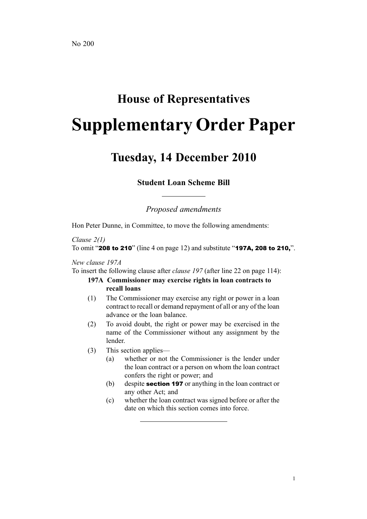# **House of Representatives Supplementary Order Paper**

## **Tuesday, 14 December 2010**

### **Student Loan Scheme Bill**

*Proposed amendments*

Hon Peter Dunne, in Committee, to move the following amendments:

#### *Clause 2(1)* To omit "<sup>208</sup> to <sup>210</sup>" (line 4 on page 12) and substitute "197A, <sup>208</sup> to 210,".

#### *New clause 197A*

To insert the following clause after *clause 197* (after line 22 on page 114):

#### **197A Commissioner may exercise rights in loan contracts to recall loans**

- (1) The Commissioner may exercise any right or power in <sup>a</sup> loan contract to recall or demand repaymen<sup>t</sup> of all or any of the loan advance or the loan balance.
- (2) To avoid doubt, the right or power may be exercised in the name of the Commissioner without any assignment by the lender.
- (3) This section applies—
	- (a) whether or not the Commissioner is the lender under the loan contract or <sup>a</sup> person on whom the loan contract confers the right or power; and
	- (b) despite **section 197** or anything in the loan contract or any other Act; and
	- (c) whether the loan contract was signed before or after the date on which this section comes into force.

1